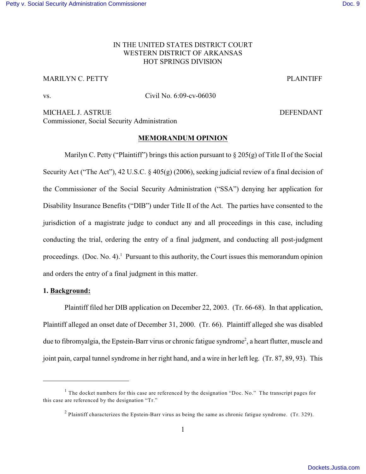# IN THE UNITED STATES DISTRICT COURT WESTERN DISTRICT OF ARKANSAS HOT SPRINGS DIVISION

### MARILYN C. PETTY PLAINTIFF

vs. Civil No. 6:09-cv-06030

MICHAEL J. ASTRUE **DEFENDANT** Commissioner, Social Security Administration

## **MEMORANDUM OPINION**

Marilyn C. Petty ("Plaintiff") brings this action pursuant to  $\S 205(g)$  of Title II of the Social Security Act ("The Act"), 42 U.S.C. § 405(g) (2006), seeking judicial review of a final decision of the Commissioner of the Social Security Administration ("SSA") denying her application for Disability Insurance Benefits ("DIB") under Title II of the Act. The parties have consented to the jurisdiction of a magistrate judge to conduct any and all proceedings in this case, including conducting the trial, ordering the entry of a final judgment, and conducting all post-judgment proceedings. (Doc. No. 4).<sup>1</sup> Pursuant to this authority, the Court issues this memorandum opinion and orders the entry of a final judgment in this matter.

### **1. Background:**

Plaintiff filed her DIB application on December 22, 2003. (Tr. 66-68). In that application, Plaintiff alleged an onset date of December 31, 2000. (Tr. 66). Plaintiff alleged she was disabled due to fibromyalgia, the Epstein-Barr virus or chronic fatigue syndrome<sup>2</sup>, a heart flutter, muscle and joint pain, carpal tunnel syndrome in her right hand, and a wire in her left leg. (Tr. 87, 89, 93). This

<sup>&</sup>lt;sup>1</sup> The docket numbers for this case are referenced by the designation "Doc. No." The transcript pages for this case are referenced by the designation "Tr."

<sup>&</sup>lt;sup>2</sup> Plaintiff characterizes the Epstein-Barr virus as being the same as chronic fatigue syndrome. (Tr. 329).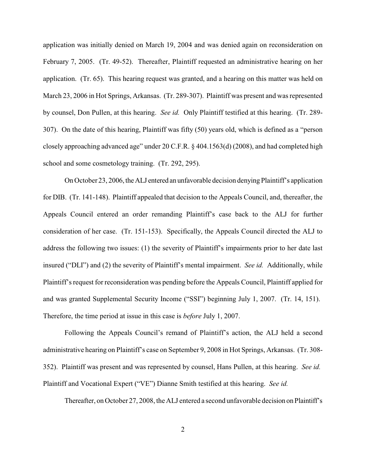application was initially denied on March 19, 2004 and was denied again on reconsideration on February 7, 2005. (Tr. 49-52). Thereafter, Plaintiff requested an administrative hearing on her application. (Tr. 65). This hearing request was granted, and a hearing on this matter was held on March 23, 2006 in Hot Springs, Arkansas. (Tr. 289-307). Plaintiff was present and was represented by counsel, Don Pullen, at this hearing. *See id.* Only Plaintiff testified at this hearing. (Tr. 289- 307). On the date of this hearing, Plaintiff was fifty (50) years old, which is defined as a "person closely approaching advanced age" under 20 C.F.R. § 404.1563(d) (2008), and had completed high school and some cosmetology training. (Tr. 292, 295).

On October 23, 2006, the ALJ entered an unfavorable decision denying Plaintiff's application for DIB. (Tr. 141-148). Plaintiff appealed that decision to the Appeals Council, and, thereafter, the Appeals Council entered an order remanding Plaintiff's case back to the ALJ for further consideration of her case. (Tr. 151-153). Specifically, the Appeals Council directed the ALJ to address the following two issues: (1) the severity of Plaintiff's impairments prior to her date last insured ("DLI") and (2) the severity of Plaintiff's mental impairment. *See id.* Additionally, while Plaintiff's request for reconsideration was pending before the Appeals Council, Plaintiff applied for and was granted Supplemental Security Income ("SSI") beginning July 1, 2007. (Tr. 14, 151). Therefore, the time period at issue in this case is *before* July 1, 2007.

Following the Appeals Council's remand of Plaintiff's action, the ALJ held a second administrative hearing on Plaintiff's case on September 9, 2008 in Hot Springs, Arkansas. (Tr. 308- 352). Plaintiff was present and was represented by counsel, Hans Pullen, at this hearing. *See id.*  Plaintiff and Vocational Expert ("VE") Dianne Smith testified at this hearing. *See id.* 

Thereafter, on October 27, 2008, the ALJ entered a second unfavorable decision on Plaintiff's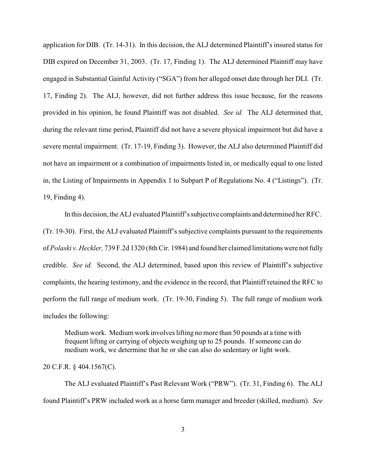application for DIB. (Tr. 14-31). In this decision, the ALJ determined Plaintiff's insured status for DIB expired on December 31, 2003. (Tr. 17, Finding 1). The ALJ determined Plaintiff may have engaged in Substantial Gainful Activity ("SGA") from her alleged onset date through her DLI. (Tr. 17, Finding 2). The ALJ, however, did not further address this issue because, for the reasons provided in his opinion, he found Plaintiff was not disabled. *See id.* The ALJ determined that, during the relevant time period, Plaintiff did not have a severe physical impairment but did have a severe mental impairment. (Tr. 17-19, Finding 3). However, the ALJ also determined Plaintiff did not have an impairment or a combination of impairments listed in, or medically equal to one listed in, the Listing of Impairments in Appendix 1 to Subpart P of Regulations No. 4 ("Listings"). (Tr. 19, Finding 4).

In this decision, the ALJ evaluated Plaintiff's subjective complaints and determined her RFC. (Tr. 19-30). First, the ALJ evaluated Plaintiff's subjective complaints pursuant to the requirements of *Polaski v. Heckler,* 739 F.2d 1320 (8th Cir. 1984) and found her claimed limitations were not fully credible. *See id.* Second, the ALJ determined, based upon this review of Plaintiff's subjective complaints, the hearing testimony, and the evidence in the record, that Plaintiff retained the RFC to perform the full range of medium work. (Tr. 19-30, Finding 5). The full range of medium work includes the following:

Medium work. Medium work involves lifting no more than 50 pounds at a time with frequent lifting or carrying of objects weighing up to 25 pounds. If someone can do medium work, we determine that he or she can also do sedentary or light work.

20 C.F.R. § 404.1567(C).

The ALJ evaluated Plaintiff's Past Relevant Work ("PRW"). (Tr. 31, Finding 6). The ALJ found Plaintiff's PRW included work as a horse farm manager and breeder (skilled, medium). *See*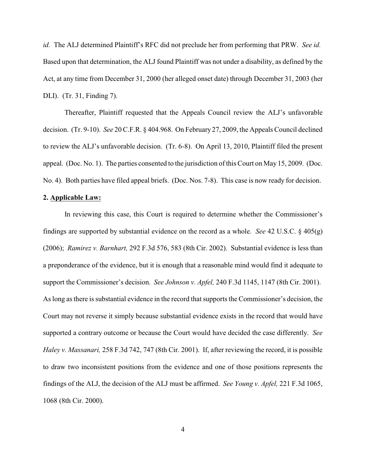*id.* The ALJ determined Plaintiff's RFC did not preclude her from performing that PRW. *See id.*  Based upon that determination, the ALJ found Plaintiff was not under a disability, as defined by the Act, at any time from December 31, 2000 (her alleged onset date) through December 31, 2003 (her DLI). (Tr. 31, Finding 7).

Thereafter, Plaintiff requested that the Appeals Council review the ALJ's unfavorable decision. (Tr. 9-10). *See* 20 C.F.R. § 404.968. On February 27, 2009, the Appeals Council declined to review the ALJ's unfavorable decision. (Tr. 6-8). On April 13, 2010, Plaintiff filed the present appeal. (Doc. No. 1). The parties consented to the jurisdiction of this Court on May 15, 2009. (Doc. No. 4). Both parties have filed appeal briefs. (Doc. Nos. 7-8). This case is now ready for decision.

#### **2. Applicable Law:**

In reviewing this case, this Court is required to determine whether the Commissioner's findings are supported by substantial evidence on the record as a whole. *See* 42 U.S.C. § 405(g) (2006); *Ramirez v. Barnhart,* 292 F.3d 576, 583 (8th Cir. 2002). Substantial evidence is less than a preponderance of the evidence, but it is enough that a reasonable mind would find it adequate to support the Commissioner's decision. *See Johnson v. Apfel,* 240 F.3d 1145, 1147 (8th Cir. 2001). As long as there is substantial evidence in the record that supports the Commissioner's decision, the Court may not reverse it simply because substantial evidence exists in the record that would have supported a contrary outcome or because the Court would have decided the case differently. *See Haley v. Massanari,* 258 F.3d 742, 747 (8th Cir. 2001). If, after reviewing the record, it is possible to draw two inconsistent positions from the evidence and one of those positions represents the findings of the ALJ, the decision of the ALJ must be affirmed. *See Young v. Apfel,* 221 F.3d 1065, 1068 (8th Cir. 2000).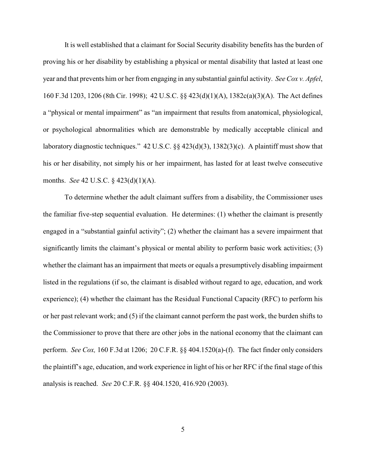It is well established that a claimant for Social Security disability benefits has the burden of proving his or her disability by establishing a physical or mental disability that lasted at least one year and that prevents him or her from engaging in any substantial gainful activity. *See Cox v. Apfel*, 160 F.3d 1203, 1206 (8th Cir. 1998); 42 U.S.C. §§ 423(d)(1)(A), 1382c(a)(3)(A). The Act defines a "physical or mental impairment" as "an impairment that results from anatomical, physiological, or psychological abnormalities which are demonstrable by medically acceptable clinical and laboratory diagnostic techniques." 42 U.S.C. §§ 423(d)(3), 1382(3)(c). A plaintiff must show that his or her disability, not simply his or her impairment, has lasted for at least twelve consecutive months. *See* 42 U.S.C. § 423(d)(1)(A).

To determine whether the adult claimant suffers from a disability, the Commissioner uses the familiar five-step sequential evaluation. He determines: (1) whether the claimant is presently engaged in a "substantial gainful activity"; (2) whether the claimant has a severe impairment that significantly limits the claimant's physical or mental ability to perform basic work activities; (3) whether the claimant has an impairment that meets or equals a presumptively disabling impairment listed in the regulations (if so, the claimant is disabled without regard to age, education, and work experience); (4) whether the claimant has the Residual Functional Capacity (RFC) to perform his or her past relevant work; and (5) if the claimant cannot perform the past work, the burden shifts to the Commissioner to prove that there are other jobs in the national economy that the claimant can perform. *See Cox,* 160 F.3d at 1206; 20 C.F.R. §§ 404.1520(a)-(f). The fact finder only considers the plaintiff's age, education, and work experience in light of his or her RFC if the final stage of this analysis is reached. *See* 20 C.F.R. §§ 404.1520, 416.920 (2003).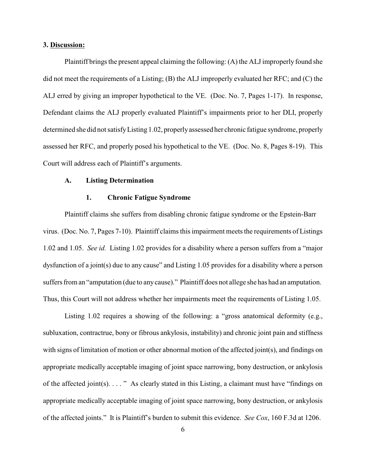#### **3. Discussion:**

Plaintiff brings the present appeal claiming the following: (A) the ALJ improperly found she did not meet the requirements of a Listing; (B) the ALJ improperly evaluated her RFC; and (C) the ALJ erred by giving an improper hypothetical to the VE. (Doc. No. 7, Pages 1-17). In response, Defendant claims the ALJ properly evaluated Plaintiff's impairments prior to her DLI, properly determined she did not satisfy Listing 1.02, properly assessed her chronic fatigue syndrome, properly assessed her RFC, and properly posed his hypothetical to the VE. (Doc. No. 8, Pages 8-19). This Court will address each of Plaintiff's arguments.

#### **A. Listing Determination**

### **1. Chronic Fatigue Syndrome**

Plaintiff claims she suffers from disabling chronic fatigue syndrome or the Epstein-Barr virus. (Doc. No. 7, Pages 7-10). Plaintiff claims this impairment meets the requirements of Listings 1.02 and 1.05. *See id.* Listing 1.02 provides for a disability where a person suffers from a "major dysfunction of a joint(s) due to any cause" and Listing 1.05 provides for a disability where a person suffers from an "amputation (due to any cause)." Plaintiff does not allege she has had an amputation. Thus, this Court will not address whether her impairments meet the requirements of Listing 1.05.

Listing 1.02 requires a showing of the following: a "gross anatomical deformity (e.g., subluxation, contractrue, bony or fibrous ankylosis, instability) and chronic joint pain and stiffness with signs of limitation of motion or other abnormal motion of the affected joint(s), and findings on appropriate medically acceptable imaging of joint space narrowing, bony destruction, or ankylosis of the affected joint(s). . . . " As clearly stated in this Listing, a claimant must have "findings on appropriate medically acceptable imaging of joint space narrowing, bony destruction, or ankylosis of the affected joints." It is Plaintiff's burden to submit this evidence. *See Cox*, 160 F.3d at 1206.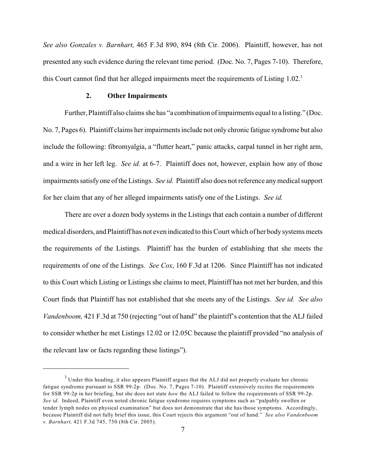*See also Gonzales v. Barnhart,* 465 F.3d 890, 894 (8th Cir. 2006). Plaintiff, however, has not presented any such evidence during the relevant time period. (Doc. No. 7, Pages 7-10). Therefore, this Court cannot find that her alleged impairments meet the requirements of Listing 1.02.<sup>3</sup>

#### **2. Other Impairments**

Further, Plaintiff also claims she has "a combination of impairments equal to a listing." (Doc. No. 7, Pages 6). Plaintiff claims her impairments include not only chronic fatigue syndrome but also include the following: fibromyalgia, a "flutter heart," panic attacks, carpal tunnel in her right arm, and a wire in her left leg. *See id.* at 6-7. Plaintiff does not, however, explain how any of those impairmentssatisfy one ofthe Listings. *See id.* Plaintiff also does not reference anymedical support for her claim that any of her alleged impairments satisfy one of the Listings. *See id.* 

There are over a dozen body systems in the Listings that each contain a number of different medical disorders, and Plaintiff has not even indicated to this Court which of her body systems meets the requirements of the Listings. Plaintiff has the burden of establishing that she meets the requirements of one of the Listings. *See Cox*, 160 F.3d at 1206. Since Plaintiff has not indicated to this Court which Listing or Listings she claims to meet, Plaintiff has not met her burden, and this Court finds that Plaintiff has not established that she meets any of the Listings. *See id. See also Vandenboom,* 421 F.3d at 750 (rejecting "out of hand" the plaintiff's contention that the ALJ failed to consider whether he met Listings 12.02 or 12.05C because the plaintiff provided "no analysis of the relevant law or facts regarding these listings").

<sup>&</sup>lt;sup>3</sup> Under this heading, it also appears Plaintiff argues that the ALJ did not properly evaluate her chronic fatigue syndrome pursuant to SSR 99-2p. (Doc. No. 7, Pages 7-10). Plaintiff extensively recites the requirements for SSR 99-2p in her briefing, but she does not state *how* the ALJ failed to follow the requirements of SSR 99-2p. *See id.* Indeed, Plaintiff even noted chronic fatigue syndrome requires symptoms such as "palpably swollen or tender lymph nodes on physical examination" but does not demonstrate that she has those symptoms. Accordingly, because Plaintiff did not fully brief this issue, this Court rejects this argument "out of hand." *See also Vandenboom v. Barnhart,* 421 F.3d 745, 750 (8th Cir. 2005).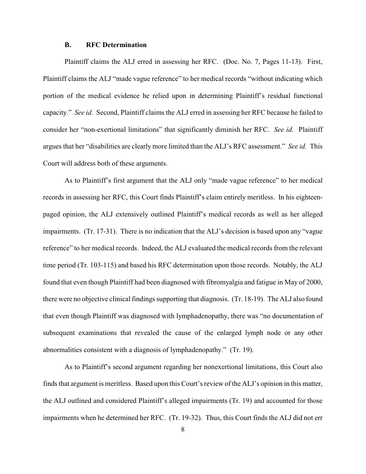#### **B. RFC Determination**

Plaintiff claims the ALJ erred in assessing her RFC. (Doc. No. 7, Pages 11-13). First, Plaintiff claims the ALJ "made vague reference" to her medical records "without indicating which portion of the medical evidence he relied upon in determining Plaintiff's residual functional capacity." *See id.* Second, Plaintiff claims the ALJ erred in assessing her RFC because he failed to consider her "non-exertional limitations" that significantly diminish her RFC. *See id.* Plaintiff argues that her "disabilities are clearly more limited than the ALJ's RFC assessment." *See id.* This Court will address both of these arguments.

As to Plaintiff's first argument that the ALJ only "made vague reference" to her medical records in assessing her RFC, this Court finds Plaintiff's claim entirely meritless. In his eighteenpaged opinion, the ALJ extensively outlined Plaintiff's medical records as well as her alleged impairments. (Tr. 17-31). There is no indication that the ALJ's decision is based upon any "vague reference" to her medical records. Indeed, the ALJ evaluated the medical records from the relevant time period (Tr. 103-115) and based his RFC determination upon those records. Notably, the ALJ found that even though Plaintiff had been diagnosed with fibromyalgia and fatigue in May of 2000, there were no objective clinical findings supporting that diagnosis. (Tr. 18-19). The ALJ also found that even though Plaintiff was diagnosed with lymphadenopathy, there was "no documentation of subsequent examinations that revealed the cause of the enlarged lymph node or any other abnormalities consistent with a diagnosis of lymphadenopathy." (Tr. 19).

As to Plaintiff's second argument regarding her nonexertional limitations, this Court also finds that argument is meritless. Based upon this Court's review of the ALJ's opinion in this matter, the ALJ outlined and considered Plaintiff's alleged impairments (Tr. 19) and accounted for those impairments when he determined her RFC. (Tr. 19-32). Thus, this Court finds the ALJ did not err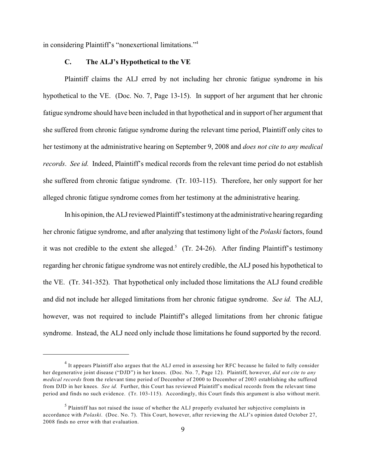in considering Plaintiff's "nonexertional limitations."<sup>4</sup>

#### **C. The ALJ's Hypothetical to the VE**

Plaintiff claims the ALJ erred by not including her chronic fatigue syndrome in his hypothetical to the VE. (Doc. No. 7, Page 13-15). In support of her argument that her chronic fatigue syndrome should have been included in that hypothetical and in support of her argument that she suffered from chronic fatigue syndrome during the relevant time period, Plaintiff only cites to her testimony at the administrative hearing on September 9, 2008 and *does not cite to any medical records*. *See id.* Indeed, Plaintiff's medical records from the relevant time period do not establish she suffered from chronic fatigue syndrome. (Tr. 103-115). Therefore, her only support for her alleged chronic fatigue syndrome comes from her testimony at the administrative hearing.

In his opinion, the ALJ reviewed Plaintiff's testimony at the administrative hearing regarding her chronic fatigue syndrome, and after analyzing that testimony light of the *Polaski* factors, found it was not credible to the extent she alleged.<sup>5</sup> (Tr. 24-26). After finding Plaintiff's testimony regarding her chronic fatigue syndrome was not entirely credible, the ALJ posed his hypothetical to the VE. (Tr. 341-352). That hypothetical only included those limitations the ALJ found credible and did not include her alleged limitations from her chronic fatigue syndrome. *See id.* The ALJ, however, was not required to include Plaintiff's alleged limitations from her chronic fatigue syndrome. Instead, the ALJ need only include those limitations he found supported by the record.

<sup>&</sup>lt;sup>4</sup> It appears Plaintiff also argues that the ALJ erred in assessing her RFC because he failed to fully consider her degenerative joint disease ("DJD") in her knees. (Doc. No. 7, Page 12). Plaintiff, however, *did not cite to any medical records* from the relevant time period of December of 2000 to December of 2003 establishing she suffered from DJD in her knees. *See id.* Further, this Court has reviewed Plaintiff's medical records from the relevant time period and finds no such evidence. (Tr. 103-115). Accordingly, this Court finds this argument is also without merit.

 $<sup>5</sup>$  Plaintiff has not raised the issue of whether the ALJ properly evaluated her subjective complaints in</sup> accordance with *Polaski*. (Doc. No. 7). This Court, however, after reviewing the ALJ's opinion dated October 27, 2008 finds no error with that evaluation.